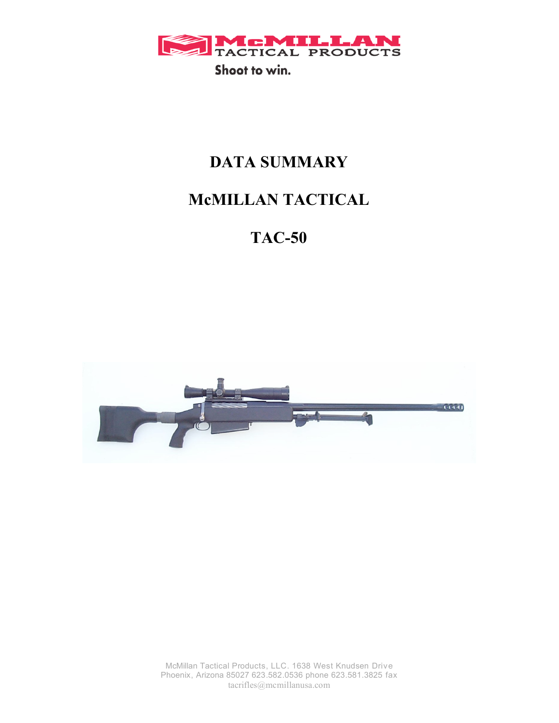

## **DATA SUMMARY**

# **McMILLAN TACTICAL**

# **TAC-50**



McMillan Tactical Products, LLC. 1638 West Knudsen Drive Phoenix, Arizona 85027 623.582.0536 phone 623.581.3825 fax tacrifles@mcmillanusa.com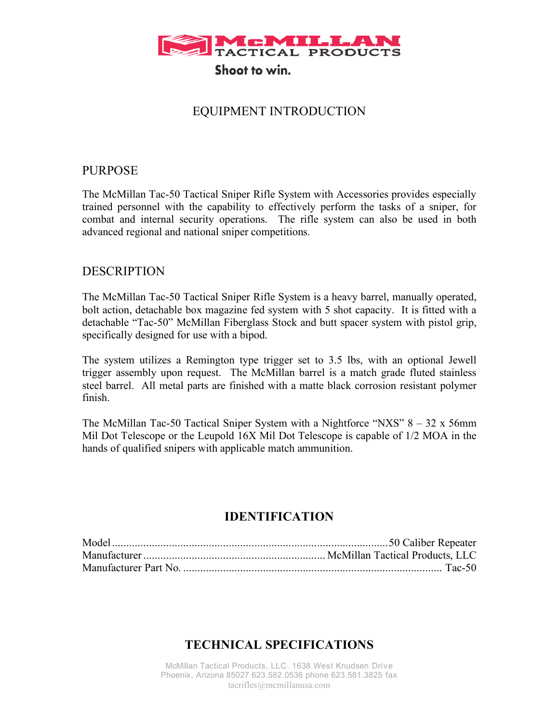

#### EQUIPMENT INTRODUCTION

#### PURPOSE

The McMillan Tac-50 Tactical Sniper Rifle System with Accessories provides especially trained personnel with the capability to effectively perform the tasks of a sniper, for combat and internal security operations. The rifle system can also be used in both advanced regional and national sniper competitions.

#### DESCRIPTION

The McMillan Tac-50 Tactical Sniper Rifle System is a heavy barrel, manually operated, bolt action, detachable box magazine fed system with 5 shot capacity. It is fitted with a detachable "Tac-50" McMillan Fiberglass Stock and butt spacer system with pistol grip, specifically designed for use with a bipod.

The system utilizes a Remington type trigger set to 3.5 lbs, with an optional Jewell trigger assembly upon request. The McMillan barrel is a match grade fluted stainless steel barrel. All metal parts are finished with a matte black corrosion resistant polymer finish.

The McMillan Tac-50 Tactical Sniper System with a Nightforce "NXS"  $8 - 32 \times 56$ mm Mil Dot Telescope or the Leupold 16X Mil Dot Telescope is capable of 1/2 MOA in the hands of qualified snipers with applicable match ammunition.

#### **IDENTIFICATION**

#### **TECHNICAL SPECIFICATIONS**

McMillan Tactical Products, LLC. 1638 West Knudsen Drive Phoenix, Arizona 85027 623.582.0536 phone 623.581.3825 fax tacrifles@mcmillanusa.com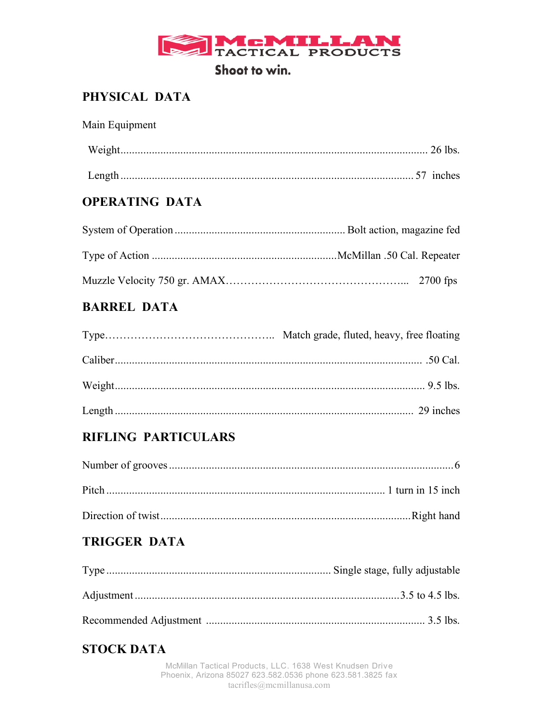

### PHYSICAL DATA

| Main Equipment |  |
|----------------|--|
|                |  |
|                |  |

#### **OPERATING DATA**

#### **BARREL DATA**

#### **RIFLING PARTICULARS**

#### **TRIGGER DATA**

#### **STOCK DATA**

McMillan Tactical Products, LLC. 1638 West Knudsen Drive Phoenix, Arizona 85027 623.582.0536 phone 623.581.3825 fax  $tacrifles@memillanusa.com$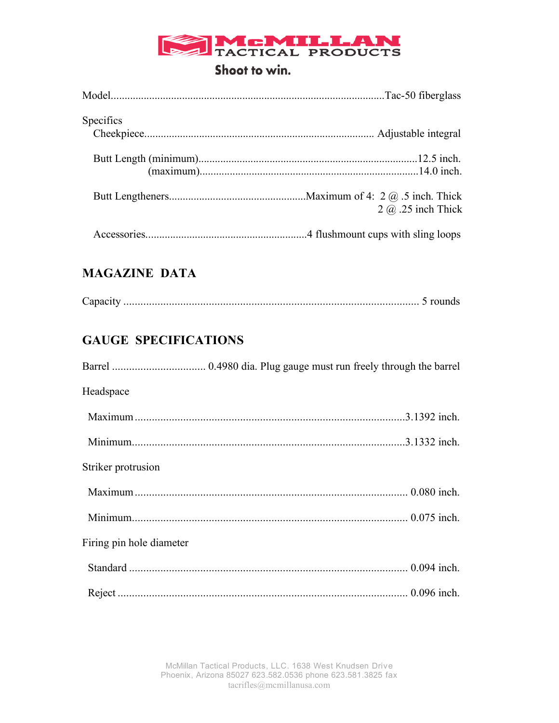# TACTICAL PRODUCTS

#### Shoot to win.

| <b>Specifics</b> |                           |
|------------------|---------------------------|
|                  |                           |
|                  | $2 \omega$ .25 inch Thick |
|                  |                           |

### **MAGAZINE DATA**

| . `anacıtı |  |  |
|------------|--|--|
|------------|--|--|

### **GAUGE SPECIFICATIONS**

| Headspace                |  |
|--------------------------|--|
|                          |  |
|                          |  |
| Striker protrusion       |  |
|                          |  |
|                          |  |
| Firing pin hole diameter |  |
|                          |  |
|                          |  |